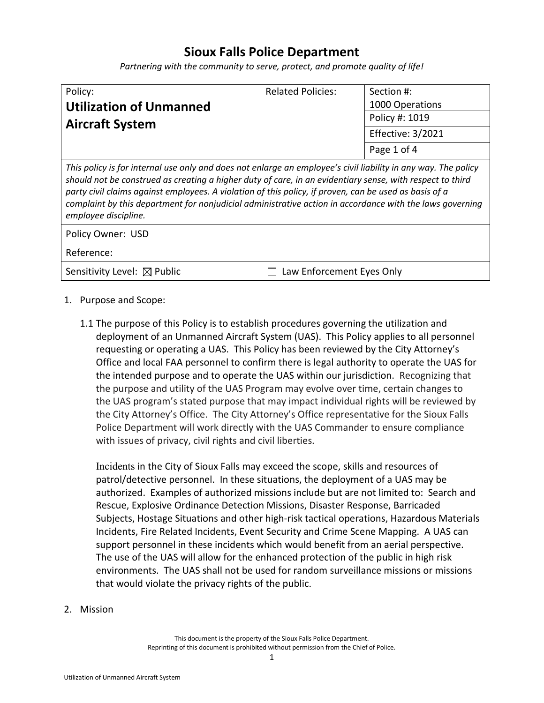## **Sioux Falls Police Department**

*Partnering with the community to serve, protect, and promote quality of life!*

| Policy:                        | <b>Related Policies:</b> | Section #:        |
|--------------------------------|--------------------------|-------------------|
| <b>Utilization of Unmanned</b> |                          | 1000 Operations   |
| <b>Aircraft System</b>         |                          | Policy #: 1019    |
|                                |                          | Effective: 3/2021 |
|                                |                          | Page 1 of 4       |

*This policy is for internal use only and does not enlarge an employee's civil liability in any way. The policy should not be construed as creating a higher duty of care, in an evidentiary sense, with respect to third party civil claims against employees. A violation of this policy, if proven, can be used as basis of a complaint by this department for nonjudicial administrative action in accordance with the laws governing employee discipline.*

Policy Owner: USD

Reference:

Sensitivity Level:  $\boxtimes$  Public  $\Box$  Law Enforcement Eyes Only

- 1. Purpose and Scope:
	- 1.1 The purpose of this Policy is to establish procedures governing the utilization and deployment of an Unmanned Aircraft System (UAS). This Policy applies to all personnel requesting or operating a UAS. This Policy has been reviewed by the City Attorney's Office and local FAA personnel to confirm there is legal authority to operate the UAS for the intended purpose and to operate the UAS within our jurisdiction. Recognizing that the purpose and utility of the UAS Program may evolve over time, certain changes to the UAS program's stated purpose that may impact individual rights will be reviewed by the City Attorney's Office. The City Attorney's Office representative for the Sioux Falls Police Department will work directly with the UAS Commander to ensure compliance with issues of privacy, civil rights and civil liberties.

Incidents in the City of Sioux Falls may exceed the scope, skills and resources of patrol/detective personnel. In these situations, the deployment of a UAS may be authorized. Examples of authorized missions include but are not limited to: Search and Rescue, Explosive Ordinance Detection Missions, Disaster Response, Barricaded Subjects, Hostage Situations and other high-risk tactical operations, Hazardous Materials Incidents, Fire Related Incidents, Event Security and Crime Scene Mapping. A UAS can support personnel in these incidents which would benefit from an aerial perspective. The use of the UAS will allow for the enhanced protection of the public in high risk environments. The UAS shall not be used for random surveillance missions or missions that would violate the privacy rights of the public.

2. Mission

This document is the property of the Sioux Falls Police Department. Reprinting of this document is prohibited without permission from the Chief of Police.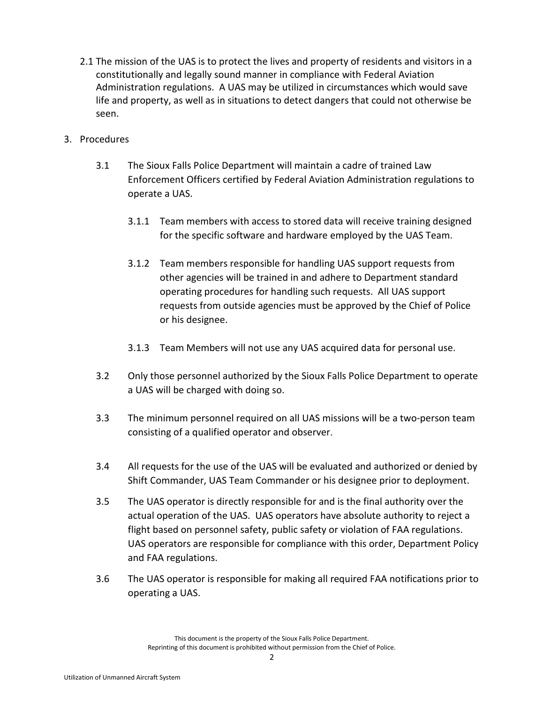- 2.1 The mission of the UAS is to protect the lives and property of residents and visitors in a constitutionally and legally sound manner in compliance with Federal Aviation Administration regulations. A UAS may be utilized in circumstances which would save life and property, as well as in situations to detect dangers that could not otherwise be seen.
- 3. Procedures
	- 3.1 The Sioux Falls Police Department will maintain a cadre of trained Law Enforcement Officers certified by Federal Aviation Administration regulations to operate a UAS.
		- 3.1.1 Team members with access to stored data will receive training designed for the specific software and hardware employed by the UAS Team.
		- 3.1.2 Team members responsible for handling UAS support requests from other agencies will be trained in and adhere to Department standard operating procedures for handling such requests. All UAS support requests from outside agencies must be approved by the Chief of Police or his designee.
		- 3.1.3 Team Members will not use any UAS acquired data for personal use.
	- 3.2 Only those personnel authorized by the Sioux Falls Police Department to operate a UAS will be charged with doing so.
	- 3.3 The minimum personnel required on all UAS missions will be a two-person team consisting of a qualified operator and observer.
	- 3.4 All requests for the use of the UAS will be evaluated and authorized or denied by Shift Commander, UAS Team Commander or his designee prior to deployment.
	- 3.5 The UAS operator is directly responsible for and is the final authority over the actual operation of the UAS. UAS operators have absolute authority to reject a flight based on personnel safety, public safety or violation of FAA regulations. UAS operators are responsible for compliance with this order, Department Policy and FAA regulations.
	- 3.6 The UAS operator is responsible for making all required FAA notifications prior to operating a UAS.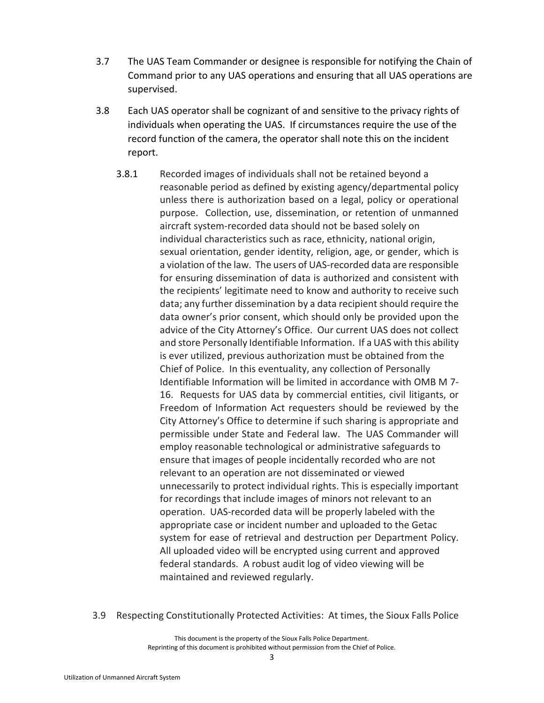- 3.7 The UAS Team Commander or designee is responsible for notifying the Chain of Command prior to any UAS operations and ensuring that all UAS operations are supervised.
- 3.8 Each UAS operator shall be cognizant of and sensitive to the privacy rights of individuals when operating the UAS. If circumstances require the use of the record function of the camera, the operator shall note this on the incident report.
	- 3.8.1 Recorded images of individuals shall not be retained beyond a reasonable period as defined by existing agency/departmental policy unless there is authorization based on a legal, policy or operational purpose. Collection, use, dissemination, or retention of unmanned aircraft system-recorded data should not be based solely on individual characteristics such as race, ethnicity, national origin, sexual orientation, gender identity, religion, age, or gender, which is a violation of the law. The users of UAS-recorded data are responsible for ensuring dissemination of data is authorized and consistent with the recipients' legitimate need to know and authority to receive such data; any further dissemination by a data recipient should require the data owner's prior consent, which should only be provided upon the advice of the City Attorney's Office. Our current UAS does not collect and store Personally Identifiable Information. If a UAS with this ability is ever utilized, previous authorization must be obtained from the Chief of Police. In this eventuality, any collection of Personally Identifiable Information will be limited in accordance with OMB M 7- 16. Requests for UAS data by commercial entities, civil litigants, or Freedom of Information Act requesters should be reviewed by the City Attorney's Office to determine if such sharing is appropriate and permissible under State and Federal law. The UAS Commander will employ reasonable technological or administrative safeguards to ensure that images of people incidentally recorded who are not relevant to an operation are not disseminated or viewed unnecessarily to protect individual rights. This is especially important for recordings that include images of minors not relevant to an operation. UAS-recorded data will be properly labeled with the appropriate case or incident number and uploaded to the Getac system for ease of retrieval and destruction per Department Policy. All uploaded video will be encrypted using current and approved federal standards. A robust audit log of video viewing will be maintained and reviewed regularly.
- 3.9 Respecting Constitutionally Protected Activities: At times, the Sioux Falls Police

This document is the property of the Sioux Falls Police Department. Reprinting of this document is prohibited without permission from the Chief of Police.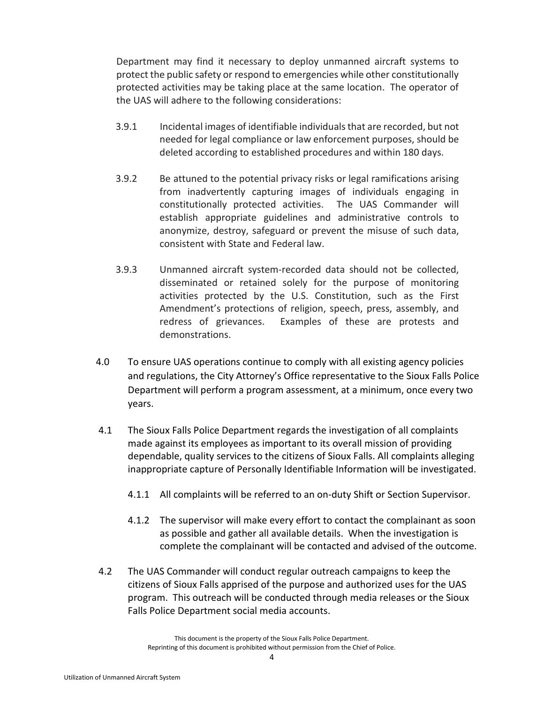Department may find it necessary to deploy unmanned aircraft systems to protect the public safety or respond to emergencies while other constitutionally protected activities may be taking place at the same location. The operator of the UAS will adhere to the following considerations:

- 3.9.1 Incidental images of identifiable individuals that are recorded, but not needed for legal compliance or law enforcement purposes, should be deleted according to established procedures and within 180 days.
- 3.9.2 Be attuned to the potential privacy risks or legal ramifications arising from inadvertently capturing images of individuals engaging in constitutionally protected activities. The UAS Commander will establish appropriate guidelines and administrative controls to anonymize, destroy, safeguard or prevent the misuse of such data, consistent with State and Federal law.
- 3.9.3 Unmanned aircraft system-recorded data should not be collected, disseminated or retained solely for the purpose of monitoring activities protected by the U.S. Constitution, such as the First Amendment's protections of religion, speech, press, assembly, and redress of grievances. Examples of these are protests and demonstrations.
- 4.0 To ensure UAS operations continue to comply with all existing agency policies and regulations, the City Attorney's Office representative to the Sioux Falls Police Department will perform a program assessment, at a minimum, once every two years.
- 4.1 The Sioux Falls Police Department regards the investigation of all complaints made against its employees as important to its overall mission of providing dependable, quality services to the citizens of Sioux Falls. All complaints alleging inappropriate capture of Personally Identifiable Information will be investigated.
	- 4.1.1 All complaints will be referred to an on-duty Shift or Section Supervisor.
	- 4.1.2 The supervisor will make every effort to contact the complainant as soon as possible and gather all available details. When the investigation is complete the complainant will be contacted and advised of the outcome.
- 4.2 The UAS Commander will conduct regular outreach campaigns to keep the citizens of Sioux Falls apprised of the purpose and authorized uses for the UAS program. This outreach will be conducted through media releases or the Sioux Falls Police Department social media accounts.

This document is the property of the Sioux Falls Police Department. Reprinting of this document is prohibited without permission from the Chief of Police.